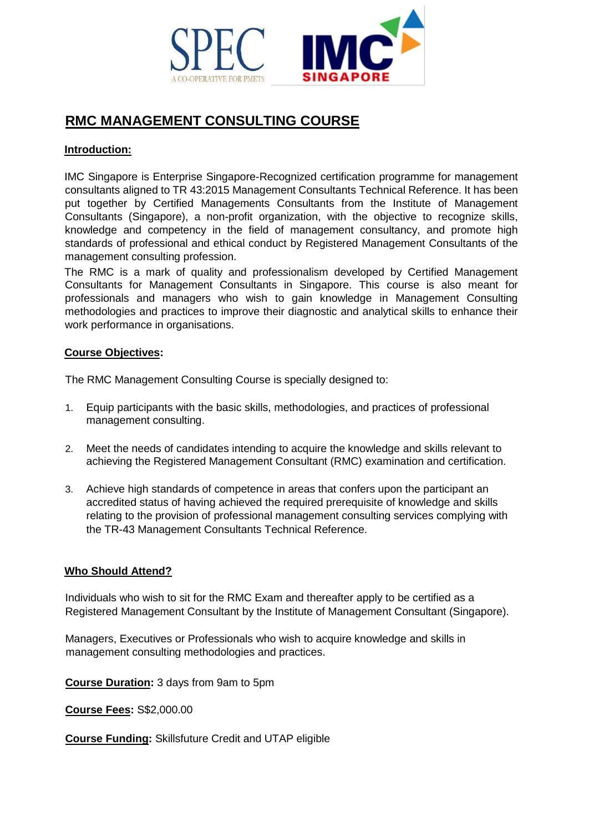

# **RMC MANAGEMENT CONSULTING COURSE**

### **Introduction:**

IMC Singapore is Enterprise Singapore-Recognized certification programme for management consultants aligned to TR 43:2015 Management Consultants Technical Reference. It has been put together by Certified Managements Consultants from the Institute of Management Consultants (Singapore), a non-profit organization, with the objective to recognize skills, knowledge and competency in the field of management consultancy, and promote high standards of professional and ethical conduct by Registered Management Consultants of the management consulting profession.

The RMC is a mark of quality and professionalism developed by Certified Management Consultants for Management Consultants in Singapore. This course is also meant for professionals and managers who wish to gain knowledge in Management Consulting methodologies and practices to improve their diagnostic and analytical skills to enhance their work performance in organisations.

#### **Course Objectives:**

The RMC Management Consulting Course is specially designed to:

- 1. Equip participants with the basic skills, methodologies, and practices of professional management consulting.
- 2. Meet the needs of candidates intending to acquire the knowledge and skills relevant to achieving the Registered Management Consultant (RMC) examination and certification.
- 3. Achieve high standards of competence in areas that confers upon the participant an accredited status of having achieved the required prerequisite of knowledge and skills relating to the provision of professional management consulting services complying with the TR-43 Management Consultants Technical Reference.

#### **Who Should Attend?**

Individuals who wish to sit for the RMC Exam and thereafter apply to be certified as a Registered Management Consultant by the Institute of Management Consultant (Singapore).

Managers, Executives or Professionals who wish to acquire knowledge and skills in management consulting methodologies and practices.

**Course Duration:** 3 days from 9am to 5pm

**Course Fees:** S\$2,000.00

**Course Funding:** Skillsfuture Credit and UTAP eligible